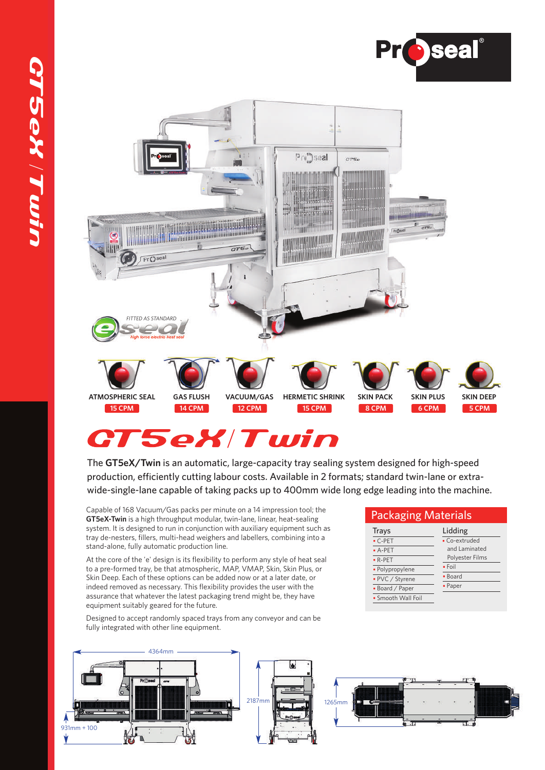



# **CT5eX/Twin**

The **GT5eX/Twin** is an automatic, large-capacity tray sealing system designed for high-speed production, efficiently cutting labour costs. Available in 2 formats; standard twin-lane or extrawide-single-lane capable of taking packs up to 400mm wide long edge leading into the machine.

Capable of 168 Vacuum/Gas packs per minute on a 14 impression tool; the **GT5eX-Twin** is a high throughput modular, twin-lane, linear, heat-sealing system. It is designed to run in conjunction with auxiliary equipment such as tray de-nesters, fillers, multi-head weighers and labellers, combining into a stand-alone, fully automatic production line.

At the core of the 'e' design is its flexibility to perform any style of heat seal to a pre-formed tray, be that atmospheric, MAP, VMAP, Skin, Skin Plus, or Skin Deep. Each of these options can be added now or at a later date, or indeed removed as necessary. This flexibility provides the user with the assurance that whatever the latest packaging trend might be, they have equipment suitably geared for the future.

Designed to accept randomly spaced trays from any conveyor and can be fully integrated with other line equipment.



#### Packaging Materials

| <b>Trays</b>       | Lidding         |  |  |  |
|--------------------|-----------------|--|--|--|
| $\cdot$ C-PET      | • Co-extruded   |  |  |  |
| $-A-PET$           | and Laminated   |  |  |  |
| $\cdot$ R-PET      | Polyester Films |  |  |  |
| · Polypropylene    | $\cdot$ Foil    |  |  |  |
| • PVC / Styrene    | • Board         |  |  |  |
| • Board / Paper    | • Paper         |  |  |  |
| • Smooth Wall Foil |                 |  |  |  |
|                    |                 |  |  |  |